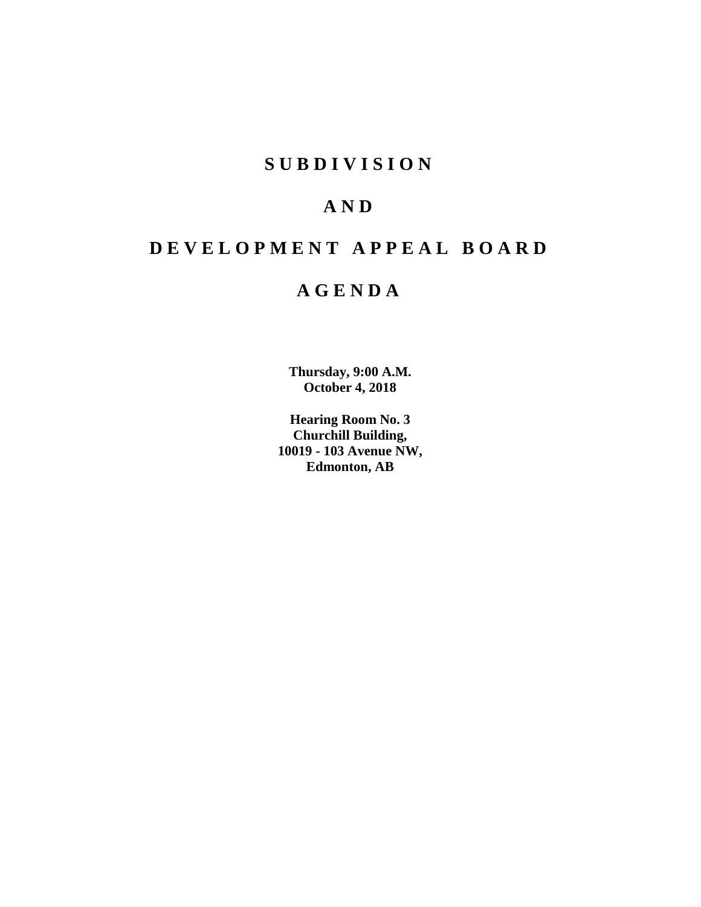# **SUBDIVISION**

# **AND**

# **DEVELOPMENT APPEAL BOARD**

# **AGENDA**

**Thursday, 9:00 A.M. October 4, 2018**

**Hearing Room No. 3 Churchill Building, 10019 - 103 Avenue NW, Edmonton, AB**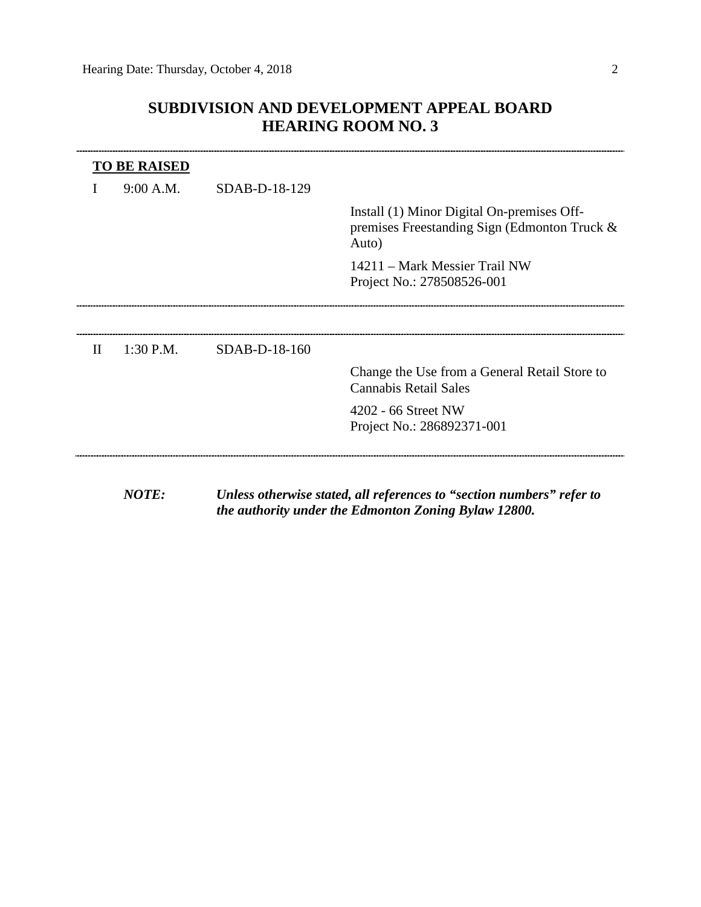# **SUBDIVISION AND DEVELOPMENT APPEAL BOARD HEARING ROOM NO. 3**

|              | <b>TO BE RAISED</b> |               |                                                                                                     |
|--------------|---------------------|---------------|-----------------------------------------------------------------------------------------------------|
|              | 9:00 A.M.           | SDAB-D-18-129 |                                                                                                     |
|              |                     |               | Install (1) Minor Digital On-premises Off-<br>premises Freestanding Sign (Edmonton Truck &<br>Auto) |
|              |                     |               | 14211 – Mark Messier Trail NW<br>Project No.: 278508526-001                                         |
|              |                     |               |                                                                                                     |
| $\mathbf{I}$ | 1:30 P.M.           | SDAB-D-18-160 |                                                                                                     |
|              |                     |               | Change the Use from a General Retail Store to<br><b>Cannabis Retail Sales</b>                       |
|              |                     |               | 4202 - 66 Street NW<br>Project No.: 286892371-001                                                   |

*NOTE: Unless otherwise stated, all references to "section numbers" refer to the authority under the Edmonton Zoning Bylaw 12800.*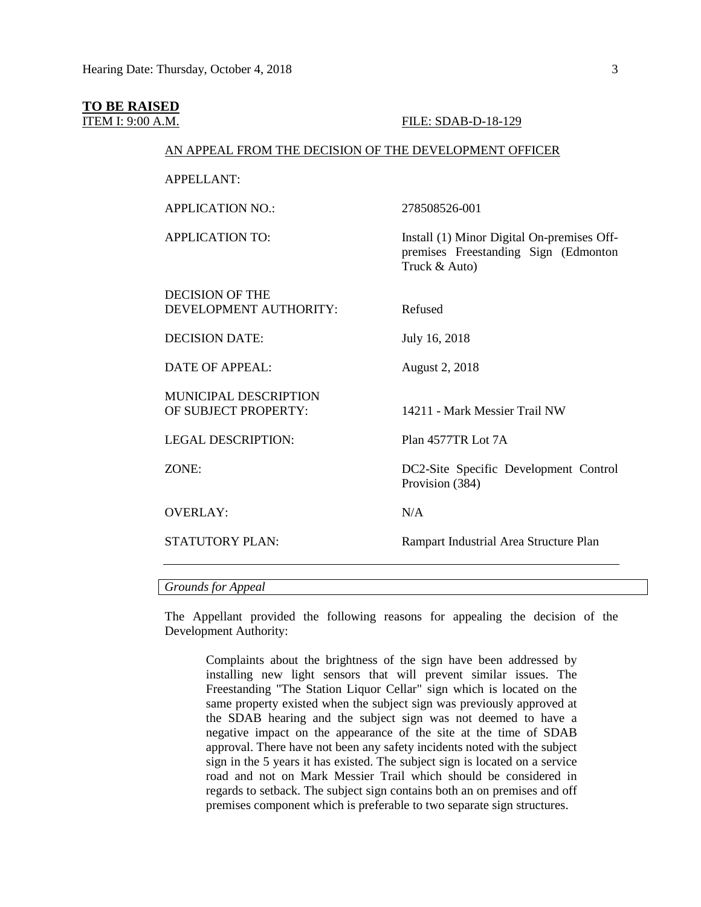### **TO BE RAISED**

#### ITEM I: 9:00 A.M. FILE: SDAB-D-18-129

## AN APPEAL FROM THE DECISION OF THE DEVELOPMENT OFFICER

APPELLANT:

APPLICATION NO.: 278508526-001

APPLICATION TO: Install (1) Minor Digital On-premises Off-

DECISION OF THE DEVELOPMENT AUTHORITY: Refused

DECISION DATE: July 16, 2018

DATE OF APPEAL: August 2, 2018

MUNICIPAL DESCRIPTION OF SUBJECT PROPERTY: 14211 - Mark Messier Trail NW

LEGAL DESCRIPTION: Plan 4577TR Lot 7A

OVERLAY· N/A

Truck & Auto)

ZONE: DC2-Site Specific Development Control Provision (384)

premises Freestanding Sign (Edmonton

STATUTORY PLAN: Rampart Industrial Area Structure Plan

*Grounds for Appeal*

The Appellant provided the following reasons for appealing the decision of the Development Authority:

Complaints about the brightness of the sign have been addressed by installing new light sensors that will prevent similar issues. The Freestanding "The Station Liquor Cellar" sign which is located on the same property existed when the subject sign was previously approved at the SDAB hearing and the subject sign was not deemed to have a negative impact on the appearance of the site at the time of SDAB approval. There have not been any safety incidents noted with the subject sign in the 5 years it has existed. The subject sign is located on a service road and not on Mark Messier Trail which should be considered in regards to setback. The subject sign contains both an on premises and off premises component which is preferable to two separate sign structures.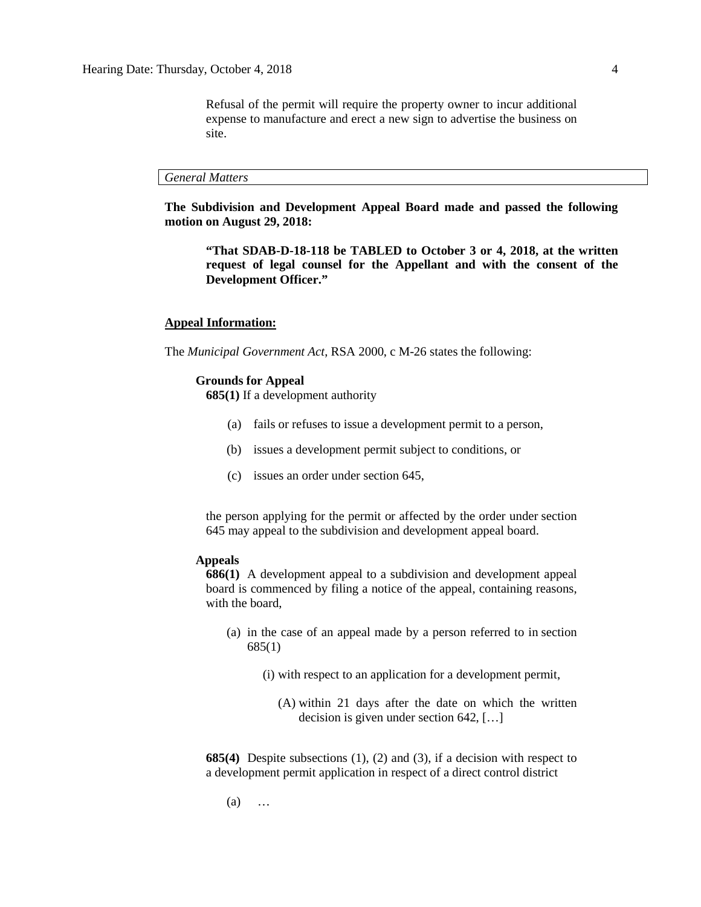Refusal of the permit will require the property owner to incur additional expense to manufacture and erect a new sign to advertise the business on site.

#### *General Matters*

**The Subdivision and Development Appeal Board made and passed the following motion on August 29, 2018:**

**"That SDAB-D-18-118 be TABLED to October 3 or 4, 2018, at the written request of legal counsel for the Appellant and with the consent of the Development Officer."**

#### **Appeal Information:**

The *Municipal Government Act*, RSA 2000, c M-26 states the following:

#### **Grounds for Appeal**

**685(1)** If a development authority

- (a) fails or refuses to issue a development permit to a person,
- (b) issues a development permit subject to conditions, or
- (c) issues an order under section 645,

the person applying for the permit or affected by the order under section 645 may appeal to the subdivision and development appeal board.

# **Appeals**

**686(1)** A development appeal to a subdivision and development appeal board is commenced by filing a notice of the appeal, containing reasons, with the board,

- (a) in the case of an appeal made by a person referred to in section 685(1)
	- (i) with respect to an application for a development permit,
		- (A) within 21 days after the date on which the written decision is given under section 642, […]

**685(4)** Despite subsections (1), (2) and (3), if a decision with respect to a development permit application in respect of a direct control district

(a) …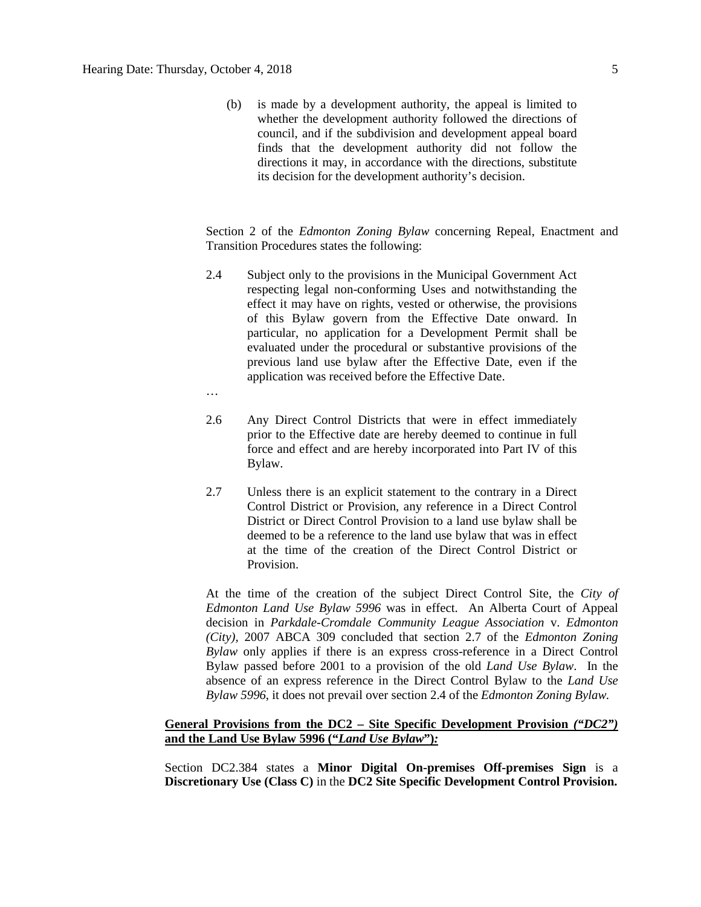(b) is made by a development authority, the appeal is limited to whether the development authority followed the directions of council, and if the subdivision and development appeal board finds that the development authority did not follow the directions it may, in accordance with the directions, substitute its decision for the development authority's decision.

Section 2 of the *Edmonton Zoning Bylaw* concerning Repeal, Enactment and Transition Procedures states the following:

- 2.4 Subject only to the provisions in the Municipal Government Act respecting legal non-conforming Uses and notwithstanding the effect it may have on rights, vested or otherwise, the provisions of this Bylaw govern from the Effective Date onward. In particular, no application for a Development Permit shall be evaluated under the procedural or substantive provisions of the previous land use bylaw after the Effective Date, even if the application was received before the Effective Date.
- …
- 2.6 Any Direct Control Districts that were in effect immediately prior to the Effective date are hereby deemed to continue in full force and effect and are hereby incorporated into Part IV of this Bylaw.
- 2.7 Unless there is an explicit statement to the contrary in a Direct Control District or Provision, any reference in a Direct Control District or Direct Control Provision to a land use bylaw shall be deemed to be a reference to the land use bylaw that was in effect at the time of the creation of the Direct Control District or Provision.

At the time of the creation of the subject Direct Control Site, the *City of Edmonton Land Use Bylaw 5996* was in effect. An Alberta Court of Appeal decision in *Parkdale-Cromdale Community League Association* v. *Edmonton (City),* 2007 ABCA 309 concluded that section 2.7 of the *Edmonton Zoning Bylaw* only applies if there is an express cross-reference in a Direct Control Bylaw passed before 2001 to a provision of the old *Land Use Bylaw*. In the absence of an express reference in the Direct Control Bylaw to the *Land Use Bylaw 5996*, it does not prevail over section 2.4 of the *Edmonton Zoning Bylaw.*

# **General Provisions from the DC2 – Site Specific Development Provision** *("DC2")*  **and the Land Use Bylaw 5996 ("***Land Use Bylaw***")***:*

Section DC2.384 states a **Minor Digital On-premises Off-premises Sign** is a **Discretionary Use (Class C)** in the **DC2 Site Specific Development Control Provision.**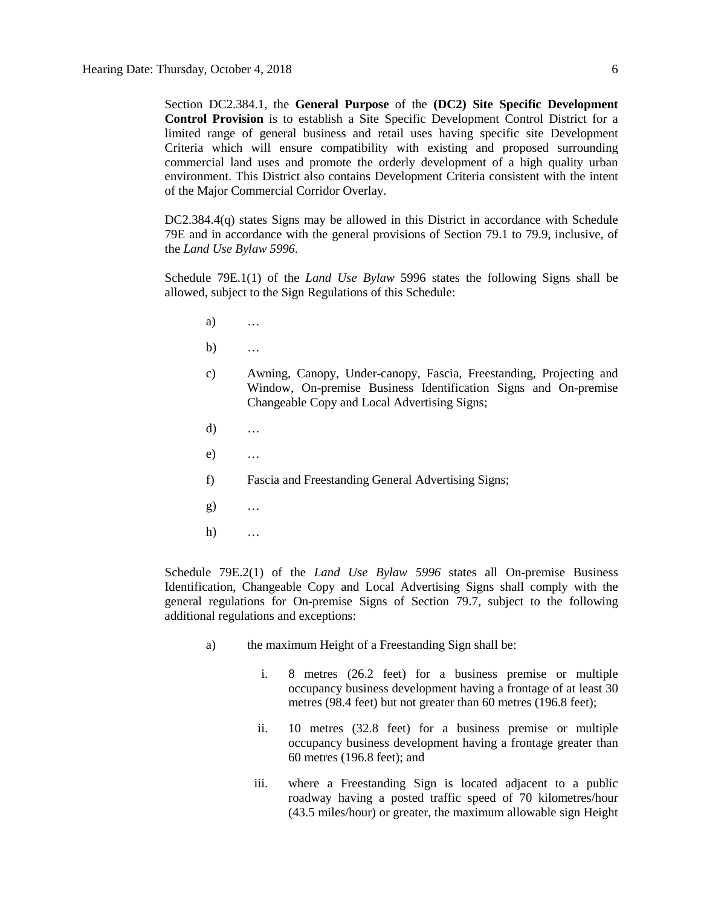Section DC2.384.1, the **General Purpose** of the **(DC2) Site Specific Development Control Provision** is to establish a Site Specific Development Control District for a limited range of general business and retail uses having specific site Development Criteria which will ensure compatibility with existing and proposed surrounding commercial land uses and promote the orderly development of a high quality urban environment. This District also contains Development Criteria consistent with the intent of the Major Commercial Corridor Overlay.

DC2.384.4(q) states Signs may be allowed in this District in accordance with Schedule 79E and in accordance with the general provisions of Section 79.1 to 79.9, inclusive, of the *Land Use Bylaw 5996*.

Schedule 79E.1(1) of the *Land Use Bylaw* 5996 states the following Signs shall be allowed, subject to the Sign Regulations of this Schedule:

- a) …
- b) …
- c) Awning, Canopy, Under-canopy, Fascia, Freestanding, Projecting and Window, On-premise Business Identification Signs and On-premise Changeable Copy and Local Advertising Signs;
- d) …
- e) …
- f) Fascia and Freestanding General Advertising Signs;
- g) …
- h) …

Schedule 79E.2(1) of the *Land Use Bylaw 5996* states all On-premise Business Identification, Changeable Copy and Local Advertising Signs shall comply with the general regulations for On-premise Signs of Section 79.7, subject to the following additional regulations and exceptions:

- a) the maximum Height of a Freestanding Sign shall be:
	- i. 8 metres (26.2 feet) for a business premise or multiple occupancy business development having a frontage of at least 30 metres (98.4 feet) but not greater than 60 metres (196.8 feet);
	- ii. 10 metres (32.8 feet) for a business premise or multiple occupancy business development having a frontage greater than 60 metres (196.8 feet); and
	- iii. where a Freestanding Sign is located adjacent to a public roadway having a posted traffic speed of 70 kilometres/hour (43.5 miles/hour) or greater, the maximum allowable sign Height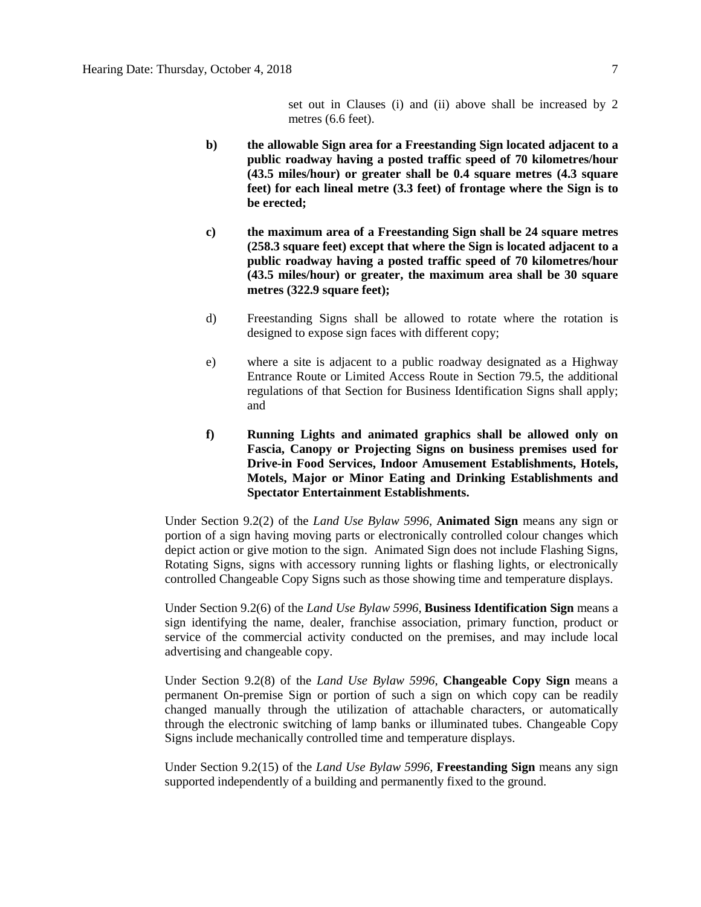set out in Clauses (i) and (ii) above shall be increased by 2 metres (6.6 feet).

- **b) the allowable Sign area for a Freestanding Sign located adjacent to a public roadway having a posted traffic speed of 70 kilometres/hour (43.5 miles/hour) or greater shall be 0.4 square metres (4.3 square feet) for each lineal metre (3.3 feet) of frontage where the Sign is to be erected;**
- **c) the maximum area of a Freestanding Sign shall be 24 square metres (258.3 square feet) except that where the Sign is located adjacent to a public roadway having a posted traffic speed of 70 kilometres/hour (43.5 miles/hour) or greater, the maximum area shall be 30 square metres (322.9 square feet);**
- d) Freestanding Signs shall be allowed to rotate where the rotation is designed to expose sign faces with different copy;
- e) where a site is adjacent to a public roadway designated as a Highway Entrance Route or Limited Access Route in Section 79.5, the additional regulations of that Section for Business Identification Signs shall apply; and
- **f) Running Lights and animated graphics shall be allowed only on Fascia, Canopy or Projecting Signs on business premises used for Drive-in Food Services, Indoor Amusement Establishments, Hotels, Motels, Major or Minor Eating and Drinking Establishments and Spectator Entertainment Establishments.**

Under Section 9.2(2) of the *Land Use Bylaw 5996*, **Animated Sign** means any sign or portion of a sign having moving parts or electronically controlled colour changes which depict action or give motion to the sign. Animated Sign does not include Flashing Signs, Rotating Signs, signs with accessory running lights or flashing lights, or electronically controlled Changeable Copy Signs such as those showing time and temperature displays.

Under Section 9.2(6) of the *Land Use Bylaw 5996*, **Business Identification Sign** means a sign identifying the name, dealer, franchise association, primary function, product or service of the commercial activity conducted on the premises, and may include local advertising and changeable copy.

Under Section 9.2(8) of the *Land Use Bylaw 5996*, **Changeable Copy Sign** means a permanent On-premise Sign or portion of such a sign on which copy can be readily changed manually through the utilization of attachable characters, or automatically through the electronic switching of lamp banks or illuminated tubes. Changeable Copy Signs include mechanically controlled time and temperature displays.

Under Section 9.2(15) of the *Land Use Bylaw 5996*, **Freestanding Sign** means any sign supported independently of a building and permanently fixed to the ground.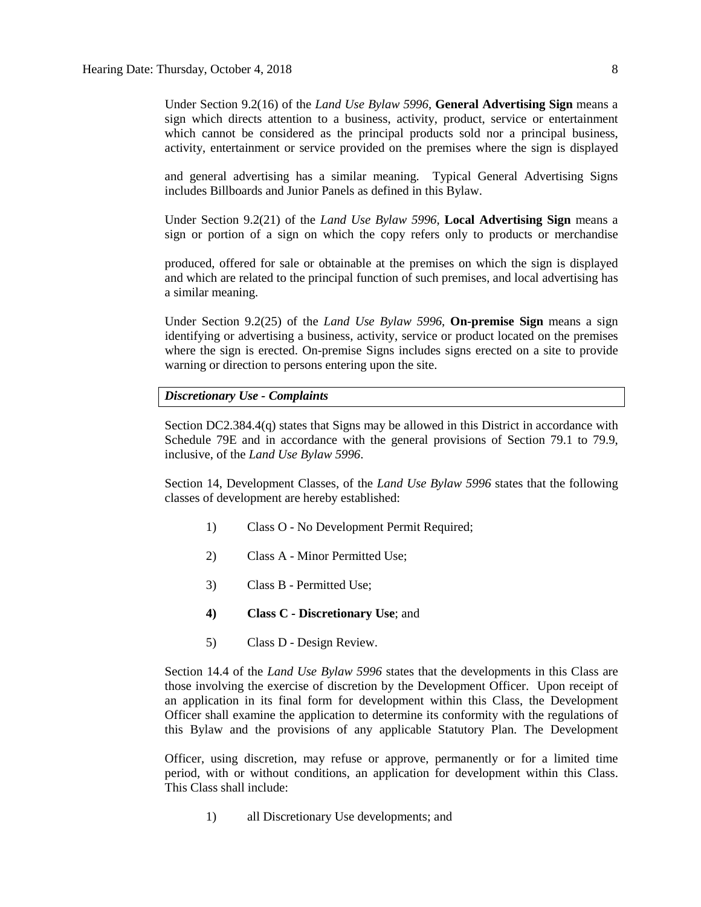Under Section 9.2(16) of the *Land Use Bylaw 5996*, **General Advertising Sign** means a sign which directs attention to a business, activity, product, service or entertainment which cannot be considered as the principal products sold nor a principal business, activity, entertainment or service provided on the premises where the sign is displayed

and general advertising has a similar meaning. Typical General Advertising Signs includes Billboards and Junior Panels as defined in this Bylaw.

Under Section 9.2(21) of the *Land Use Bylaw 5996*, **Local Advertising Sign** means a sign or portion of a sign on which the copy refers only to products or merchandise

produced, offered for sale or obtainable at the premises on which the sign is displayed and which are related to the principal function of such premises, and local advertising has a similar meaning.

Under Section 9.2(25) of the *Land Use Bylaw 5996*, **On-premise Sign** means a sign identifying or advertising a business, activity, service or product located on the premises where the sign is erected. On-premise Signs includes signs erected on a site to provide warning or direction to persons entering upon the site.

## *Discretionary Use - Complaints*

Section DC2.384.4(q) states that Signs may be allowed in this District in accordance with Schedule 79E and in accordance with the general provisions of Section 79.1 to 79.9, inclusive, of the *Land Use Bylaw 5996*.

Section 14, Development Classes, of the *Land Use Bylaw 5996* states that the following classes of development are hereby established:

- 1) Class O No Development Permit Required;
- 2) Class A Minor Permitted Use;
- 3) Class B Permitted Use;
- **4) Class C - Discretionary Use**; and
- 5) Class D Design Review.

Section 14.4 of the *Land Use Bylaw 5996* states that the developments in this Class are those involving the exercise of discretion by the Development Officer. Upon receipt of an application in its final form for development within this Class, the Development Officer shall examine the application to determine its conformity with the regulations of this Bylaw and the provisions of any applicable Statutory Plan. The Development

Officer, using discretion, may refuse or approve, permanently or for a limited time period, with or without conditions, an application for development within this Class. This Class shall include:

1) all Discretionary Use developments; and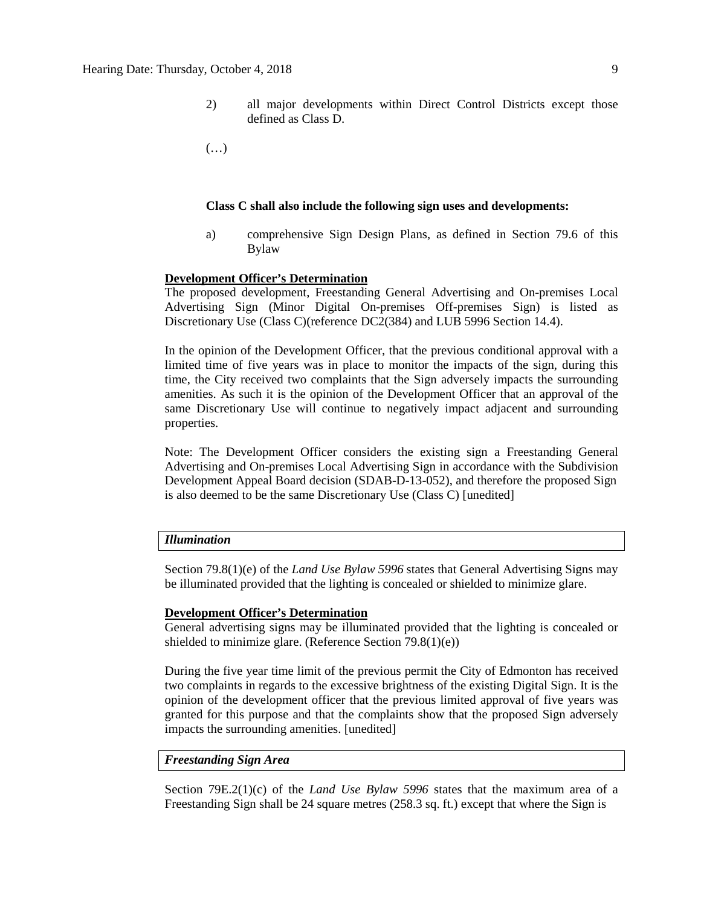2) all major developments within Direct Control Districts except those defined as Class D.

(…)

#### **Class C shall also include the following sign uses and developments:**

a) comprehensive Sign Design Plans, as defined in Section 79.6 of this Bylaw

# **Development Officer's Determination**

The proposed development, Freestanding General Advertising and On-premises Local Advertising Sign (Minor Digital On-premises Off-premises Sign) is listed as Discretionary Use (Class C)(reference DC2(384) and LUB 5996 Section 14.4).

In the opinion of the Development Officer, that the previous conditional approval with a limited time of five years was in place to monitor the impacts of the sign, during this time, the City received two complaints that the Sign adversely impacts the surrounding amenities. As such it is the opinion of the Development Officer that an approval of the same Discretionary Use will continue to negatively impact adjacent and surrounding properties.

Note: The Development Officer considers the existing sign a Freestanding General Advertising and On-premises Local Advertising Sign in accordance with the Subdivision Development Appeal Board decision (SDAB-D-13-052), and therefore the proposed Sign is also deemed to be the same Discretionary Use (Class C) [unedited]

## *Illumination*

Section 79.8(1)(e) of the *Land Use Bylaw 5996* states that General Advertising Signs may be illuminated provided that the lighting is concealed or shielded to minimize glare.

#### **Development Officer's Determination**

General advertising signs may be illuminated provided that the lighting is concealed or shielded to minimize glare. (Reference Section 79.8(1)(e))

During the five year time limit of the previous permit the City of Edmonton has received two complaints in regards to the excessive brightness of the existing Digital Sign. It is the opinion of the development officer that the previous limited approval of five years was granted for this purpose and that the complaints show that the proposed Sign adversely impacts the surrounding amenities. [unedited]

# *Freestanding Sign Area*

Section 79E.2(1)(c) of the *Land Use Bylaw 5996* states that the maximum area of a Freestanding Sign shall be 24 square metres (258.3 sq. ft.) except that where the Sign is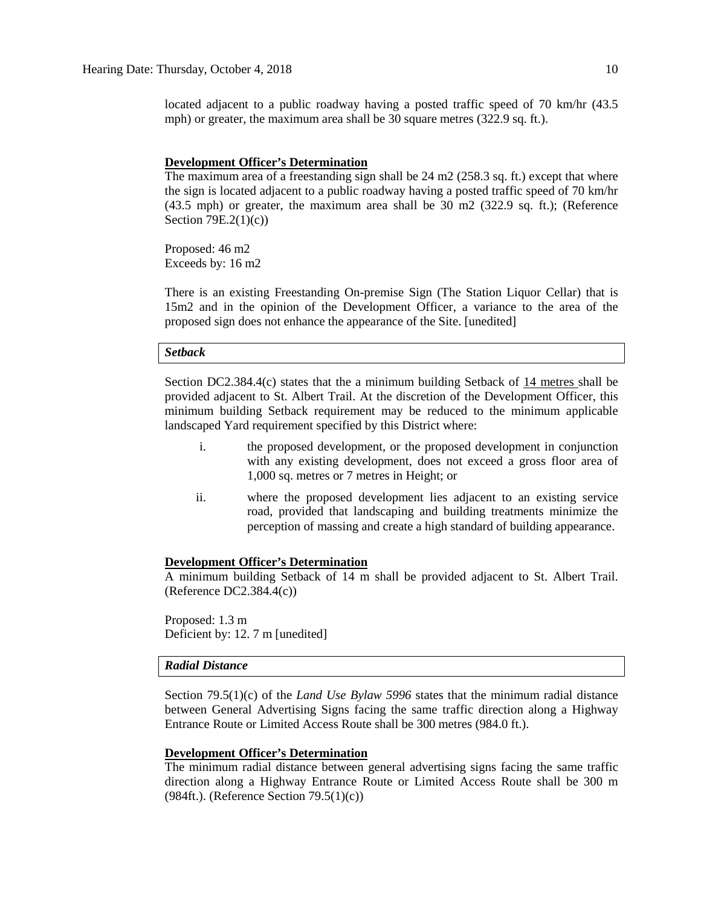located adjacent to a public roadway having a posted traffic speed of 70 km/hr (43.5 mph) or greater, the maximum area shall be 30 square metres (322.9 sq. ft.).

### **Development Officer's Determination**

The maximum area of a freestanding sign shall be 24 m2 (258.3 sq. ft.) except that where the sign is located adjacent to a public roadway having a posted traffic speed of 70 km/hr (43.5 mph) or greater, the maximum area shall be 30 m2 (322.9 sq. ft.); (Reference Section 79E.2(1)(c))

Proposed: 46 m2 Exceeds by: 16 m2

There is an existing Freestanding On-premise Sign (The Station Liquor Cellar) that is 15m2 and in the opinion of the Development Officer, a variance to the area of the proposed sign does not enhance the appearance of the Site. [unedited]

# *Setback*

Section DC2.384.4(c) states that the a minimum building Setback of 14 metres shall be provided adjacent to St. Albert Trail. At the discretion of the Development Officer, this minimum building Setback requirement may be reduced to the minimum applicable landscaped Yard requirement specified by this District where:

- i. the proposed development, or the proposed development in conjunction with any existing development, does not exceed a gross floor area of 1,000 sq. metres or 7 metres in Height; or
- ii. where the proposed development lies adjacent to an existing service road, provided that landscaping and building treatments minimize the perception of massing and create a high standard of building appearance.

#### **Development Officer's Determination**

A minimum building Setback of 14 m shall be provided adjacent to St. Albert Trail. (Reference DC2.384.4(c))

Proposed: 1.3 m Deficient by: 12. 7 m [unedited]

#### *Radial Distance*

Section 79.5(1)(c) of the *Land Use Bylaw 5996* states that the minimum radial distance between General Advertising Signs facing the same traffic direction along a Highway Entrance Route or Limited Access Route shall be 300 metres (984.0 ft.).

#### **Development Officer's Determination**

The minimum radial distance between general advertising signs facing the same traffic direction along a Highway Entrance Route or Limited Access Route shall be 300 m (984ft.). (Reference Section 79.5(1)(c))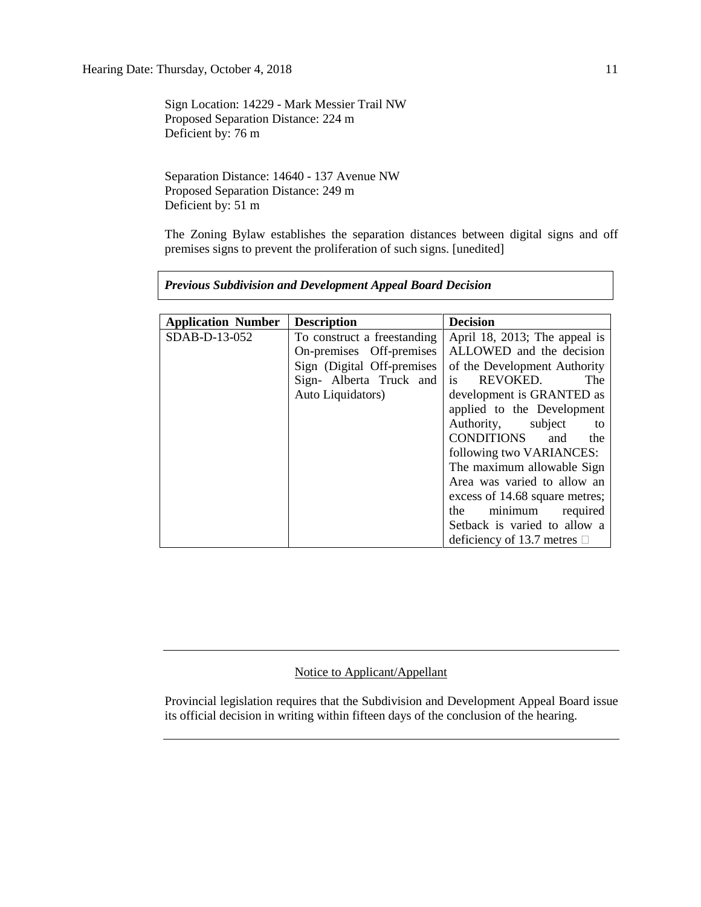Sign Location: 14229 - Mark Messier Trail NW Proposed Separation Distance: 224 m Deficient by: 76 m

Separation Distance: 14640 - 137 Avenue NW Proposed Separation Distance: 249 m Deficient by: 51 m

The Zoning Bylaw establishes the separation distances between digital signs and off premises signs to prevent the proliferation of such signs. [unedited]

|  |  | <b>Previous Subdivision and Development Appeal Board Decision</b> |  |  |
|--|--|-------------------------------------------------------------------|--|--|
|--|--|-------------------------------------------------------------------|--|--|

| <b>Application Number</b> | <b>Description</b>          | <b>Decision</b>                  |
|---------------------------|-----------------------------|----------------------------------|
| SDAB-D-13-052             | To construct a freestanding | April 18, 2013; The appeal is    |
|                           | On-premises Off-premises    | ALLOWED and the decision         |
|                           | Sign (Digital Off-premises) | of the Development Authority     |
|                           | Sign- Alberta Truck and     | is REVOKED.<br>The               |
|                           | Auto Liquidators)           | development is GRANTED as        |
|                           |                             | applied to the Development       |
|                           |                             | Authority, subject<br>to         |
|                           |                             | CONDITIONS<br>and<br>the         |
|                           |                             | following two VARIANCES:         |
|                           |                             | The maximum allowable Sign       |
|                           |                             | Area was varied to allow an      |
|                           |                             | excess of 14.68 square metres;   |
|                           |                             | minimum required<br>the          |
|                           |                             | Setback is varied to allow a     |
|                           |                             | deficiency of 13.7 metres $\Box$ |

# Notice to Applicant/Appellant

Provincial legislation requires that the Subdivision and Development Appeal Board issue its official decision in writing within fifteen days of the conclusion of the hearing.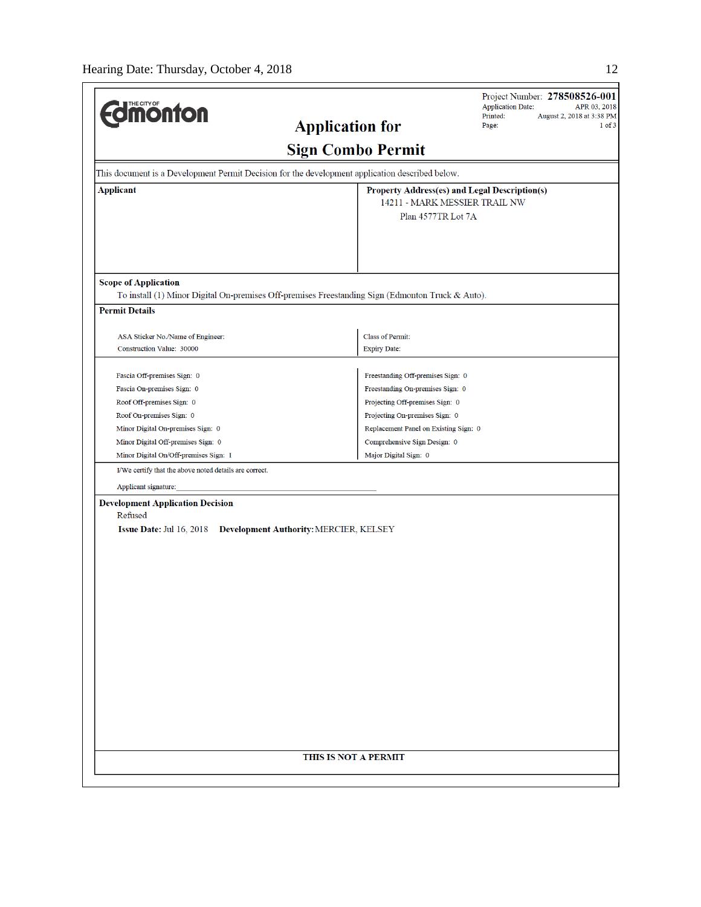| <b>UMONTON</b>                                                                                                        |                                                                                                  | Project Number: 278508526-001<br><b>Application Date:</b><br>APR 03, 2018<br>Printed:<br>August 2, 2018 at 3:38 PM |
|-----------------------------------------------------------------------------------------------------------------------|--------------------------------------------------------------------------------------------------|--------------------------------------------------------------------------------------------------------------------|
|                                                                                                                       | <b>Application for</b>                                                                           | Page:<br>$1$ of $3$                                                                                                |
|                                                                                                                       | <b>Sign Combo Permit</b>                                                                         |                                                                                                                    |
|                                                                                                                       | This document is a Development Permit Decision for the development application described below.  |                                                                                                                    |
| <b>Applicant</b>                                                                                                      | Property Address(es) and Legal Description(s)                                                    |                                                                                                                    |
|                                                                                                                       | 14211 - MARK MESSIER TRAIL NW                                                                    |                                                                                                                    |
|                                                                                                                       | Plan 4577TR Lot 7A                                                                               |                                                                                                                    |
|                                                                                                                       |                                                                                                  |                                                                                                                    |
| <b>Scope of Application</b>                                                                                           | To install (1) Minor Digital On-premises Off-premises Freestanding Sign (Edmonton Truck & Auto). |                                                                                                                    |
| <b>Permit Details</b>                                                                                                 |                                                                                                  |                                                                                                                    |
|                                                                                                                       |                                                                                                  |                                                                                                                    |
| ASA Sticker No./Name of Engineer:                                                                                     | <b>Class of Permit:</b>                                                                          |                                                                                                                    |
| Construction Value: 30000                                                                                             | <b>Expiry Date:</b>                                                                              |                                                                                                                    |
|                                                                                                                       |                                                                                                  |                                                                                                                    |
| Fascia Off-premises Sign: 0                                                                                           | Freestanding Off-premises Sign: 0                                                                |                                                                                                                    |
| Fascia On-premises Sign: 0                                                                                            | Freestanding On-premises Sign: 0                                                                 |                                                                                                                    |
| Roof Off-premises Sign: 0                                                                                             | Projecting Off-premises Sign: 0                                                                  |                                                                                                                    |
| Roof On-premises Sign: 0                                                                                              | Projecting On-premises Sign: 0                                                                   |                                                                                                                    |
| Minor Digital On-premises Sign: 0                                                                                     | Replacement Panel on Existing Sign: 0                                                            |                                                                                                                    |
| Minor Digital Off-premises Sign: 0                                                                                    | Comprehensive Sign Design: 0                                                                     |                                                                                                                    |
| Minor Digital On/Off-premises Sign: 1                                                                                 | Major Digital Sign: 0                                                                            |                                                                                                                    |
| I/We certify that the above noted details are correct.                                                                |                                                                                                  |                                                                                                                    |
| Applicant signature:                                                                                                  |                                                                                                  |                                                                                                                    |
| <b>Development Application Decision</b><br>Refused<br>Issue Date: Jul 16, 2018 Development Authority: MERCIER, KELSEY |                                                                                                  |                                                                                                                    |
|                                                                                                                       | THIS IS NOT A PERMIT                                                                             |                                                                                                                    |
|                                                                                                                       |                                                                                                  |                                                                                                                    |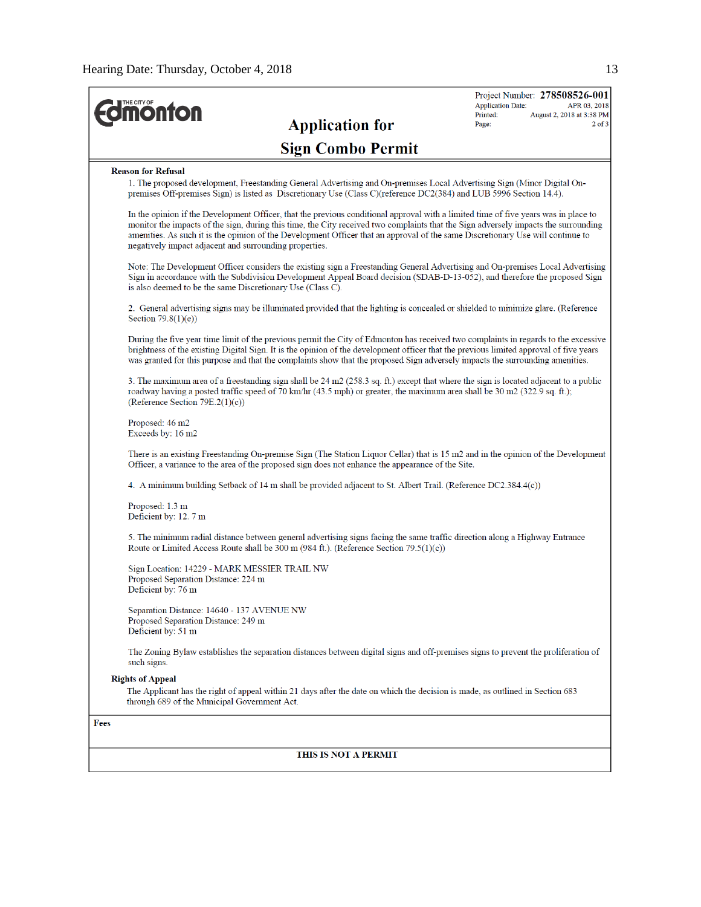$\Gamma$ 

| <b><i><u>Monton</u></i></b>                                                                                                                                                                                                                                                                                                                                                                                                                                             |                          | <b>Application Date:</b><br>Printed: | Project Number: 278508526-001<br>APR 03, 2018<br>August 2, 2018 at 3:38 PM |
|-------------------------------------------------------------------------------------------------------------------------------------------------------------------------------------------------------------------------------------------------------------------------------------------------------------------------------------------------------------------------------------------------------------------------------------------------------------------------|--------------------------|--------------------------------------|----------------------------------------------------------------------------|
|                                                                                                                                                                                                                                                                                                                                                                                                                                                                         | <b>Application for</b>   | Page:                                | $2$ of $3$                                                                 |
|                                                                                                                                                                                                                                                                                                                                                                                                                                                                         | <b>Sign Combo Permit</b> |                                      |                                                                            |
| <b>Reason for Refusal</b>                                                                                                                                                                                                                                                                                                                                                                                                                                               |                          |                                      |                                                                            |
| 1. The proposed development, Freestanding General Advertising and On-premises Local Advertising Sign (Minor Digital On-<br>premises Off-premises Sign) is listed as Discretionary Use (Class C)(reference DC2(384) and LUB 5996 Section 14.4).                                                                                                                                                                                                                          |                          |                                      |                                                                            |
| In the opinion if the Development Officer, that the previous conditional approval with a limited time of five years was in place to<br>monitor the impacts of the sign, during this time, the City received two complaints that the Sign adversely impacts the surrounding<br>amenities. As such it is the opinion of the Development Officer that an approval of the same Discretionary Use will continue to<br>negatively impact adjacent and surrounding properties. |                          |                                      |                                                                            |
| Note: The Development Officer considers the existing sign a Freestanding General Advertising and On-premises Local Advertising<br>Sign in accordance with the Subdivision Development Appeal Board decision (SDAB-D-13-052), and therefore the proposed Sign<br>is also deemed to be the same Discretionary Use (Class C).                                                                                                                                              |                          |                                      |                                                                            |
| 2. General advertising signs may be illuminated provided that the lighting is concealed or shielded to minimize glare. (Reference<br>Section $79.8(1)(e)$                                                                                                                                                                                                                                                                                                               |                          |                                      |                                                                            |
| During the five year time limit of the previous permit the City of Edmonton has received two complaints in regards to the excessive<br>brightness of the existing Digital Sign. It is the opinion of the development officer that the previous limited approval of five years<br>was granted for this purpose and that the complaints show that the proposed Sign adversely impacts the surrounding amenities.                                                          |                          |                                      |                                                                            |
| 3. The maximum area of a freestanding sign shall be 24 m2 (258.3 sq. ft.) except that where the sign is located adjacent to a public<br>roadway having a posted traffic speed of 70 km/hr (43.5 mph) or greater, the maximum area shall be 30 m2 (322.9 sq. ft.);<br>(Reference Section $79E.2(1)(c)$ )                                                                                                                                                                 |                          |                                      |                                                                            |
| Proposed: 46 m2<br>Exceeds by: 16 m2                                                                                                                                                                                                                                                                                                                                                                                                                                    |                          |                                      |                                                                            |
| There is an existing Freestanding On-premise Sign (The Station Liquor Cellar) that is 15 m2 and in the opinion of the Development<br>Officer, a variance to the area of the proposed sign does not enhance the appearance of the Site.                                                                                                                                                                                                                                  |                          |                                      |                                                                            |
| 4. A minimum building Setback of 14 m shall be provided adjacent to St. Albert Trail. (Reference DC2.384.4(c))                                                                                                                                                                                                                                                                                                                                                          |                          |                                      |                                                                            |
| Proposed: 1.3 m<br>Deficient by: 12. 7 m                                                                                                                                                                                                                                                                                                                                                                                                                                |                          |                                      |                                                                            |
| 5. The minimum radial distance between general advertising signs facing the same traffic direction along a Highway Entrance<br>Route or Limited Access Route shall be $300 \text{ m}$ (984 ft.). (Reference Section 79.5(1)(c))                                                                                                                                                                                                                                         |                          |                                      |                                                                            |
| Sign Location: 14229 - MARK MESSIER TRAIL NW<br>Proposed Separation Distance: 224 m<br>Deficient by: 76 m                                                                                                                                                                                                                                                                                                                                                               |                          |                                      |                                                                            |
| Separation Distance: 14640 - 137 AVENUE NW<br>Proposed Separation Distance: 249 m<br>Deficient by: 51 m                                                                                                                                                                                                                                                                                                                                                                 |                          |                                      |                                                                            |
| The Zoning Bylaw establishes the separation distances between digital signs and off-premises signs to prevent the proliferation of<br>such signs.                                                                                                                                                                                                                                                                                                                       |                          |                                      |                                                                            |
| <b>Rights of Appeal</b><br>The Applicant has the right of appeal within 21 days after the date on which the decision is made, as outlined in Section 683<br>through 689 of the Municipal Government Act.                                                                                                                                                                                                                                                                |                          |                                      |                                                                            |
| <b>Fees</b>                                                                                                                                                                                                                                                                                                                                                                                                                                                             |                          |                                      |                                                                            |
|                                                                                                                                                                                                                                                                                                                                                                                                                                                                         |                          |                                      |                                                                            |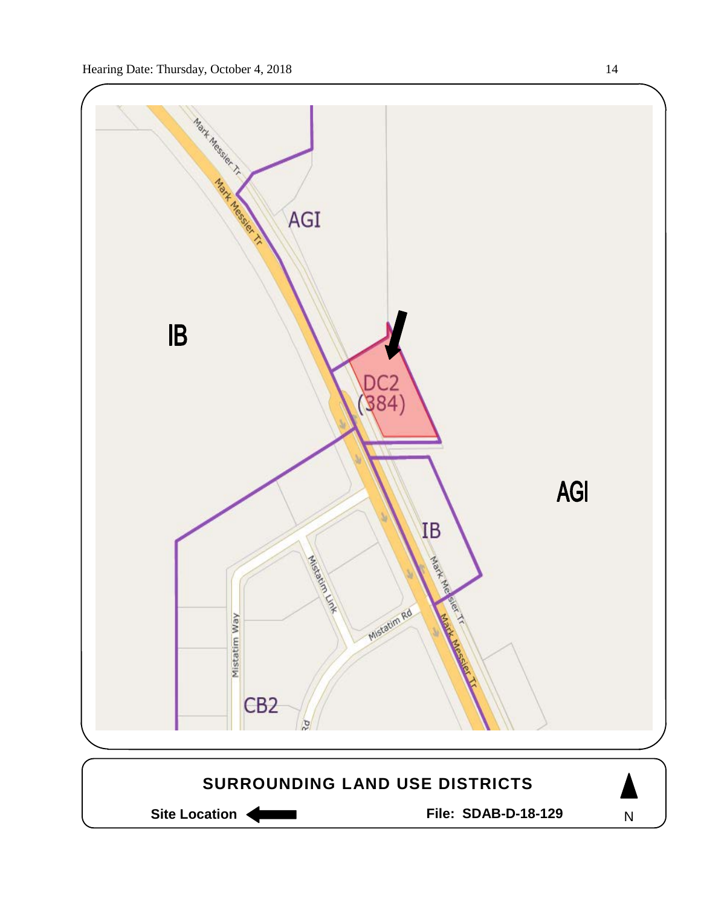

Site Location **Community Contracts** File: SDAB-D-18-129

N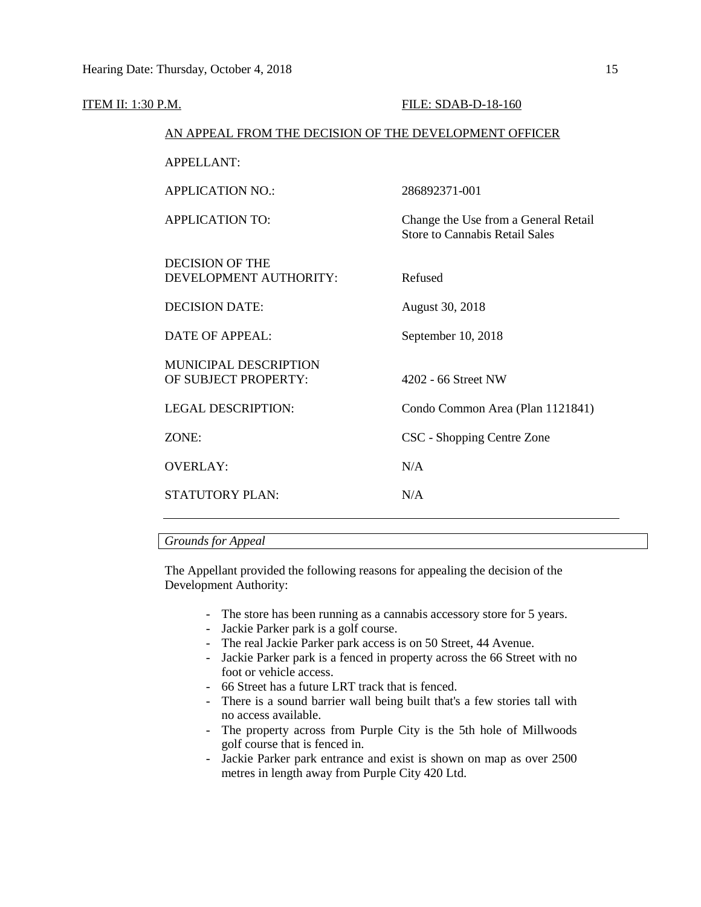| <u>ITEM II: 1:30 P.M.</u> |                                                        | FILE: SDAB-D-18-160                                                           |
|---------------------------|--------------------------------------------------------|-------------------------------------------------------------------------------|
|                           | AN APPEAL FROM THE DECISION OF THE DEVELOPMENT OFFICER |                                                                               |
|                           | <b>APPELLANT:</b>                                      |                                                                               |
|                           | <b>APPLICATION NO.:</b>                                | 286892371-001                                                                 |
|                           | <b>APPLICATION TO:</b>                                 | Change the Use from a General Retail<br><b>Store to Cannabis Retail Sales</b> |
|                           | <b>DECISION OF THE</b><br>DEVELOPMENT AUTHORITY:       | Refused                                                                       |
|                           | <b>DECISION DATE:</b>                                  | August 30, 2018                                                               |
|                           | <b>DATE OF APPEAL:</b>                                 | September 10, 2018                                                            |
|                           | MUNICIPAL DESCRIPTION<br>OF SUBJECT PROPERTY:          | 4202 - 66 Street NW                                                           |
|                           | <b>LEGAL DESCRIPTION:</b>                              | Condo Common Area (Plan 1121841)                                              |
|                           | ZONE:                                                  | CSC - Shopping Centre Zone                                                    |
|                           | <b>OVERLAY:</b>                                        | N/A                                                                           |
|                           | <b>STATUTORY PLAN:</b>                                 | N/A                                                                           |
|                           |                                                        |                                                                               |

# *Grounds for Appeal*

The Appellant provided the following reasons for appealing the decision of the Development Authority:

- The store has been running as a cannabis accessory store for 5 years.
- Jackie Parker park is a golf course.
- The real Jackie Parker park access is on 50 Street, 44 Avenue.
- Jackie Parker park is a fenced in property across the 66 Street with no foot or vehicle access.
- 66 Street has a future LRT track that is fenced.
- There is a sound barrier wall being built that's a few stories tall with no access available.
- The property across from Purple City is the 5th hole of Millwoods golf course that is fenced in.
- Jackie Parker park entrance and exist is shown on map as over 2500 metres in length away from Purple City 420 Ltd.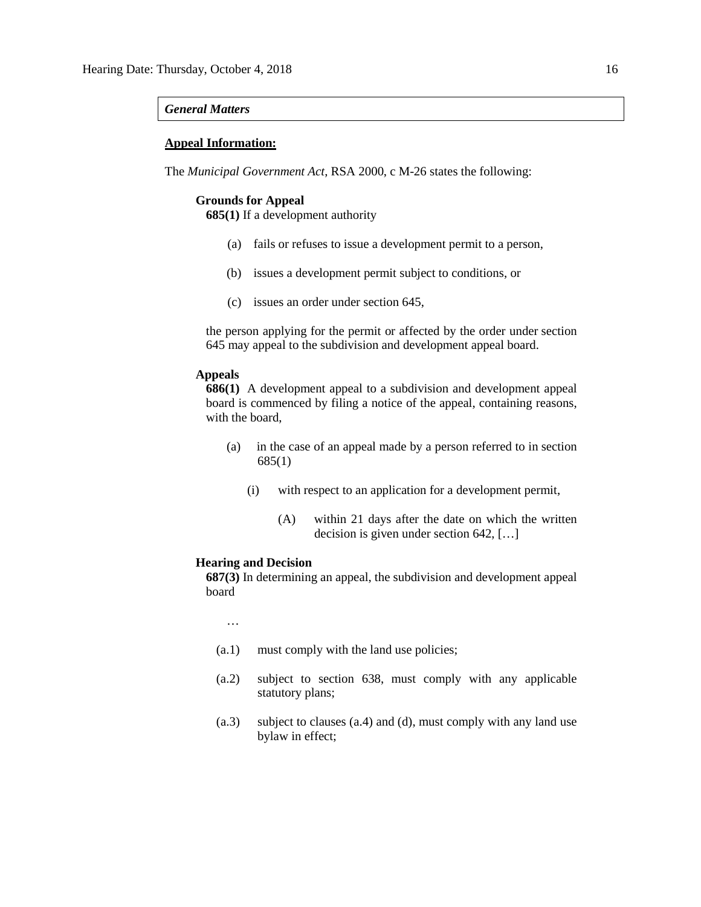#### *General Matters*

## **Appeal Information:**

The *Municipal Government Act*, RSA 2000, c M-26 states the following:

# **Grounds for Appeal**

**685(1)** If a development authority

- (a) fails or refuses to issue a development permit to a person,
- (b) issues a development permit subject to conditions, or
- (c) issues an order under section 645,

the person applying for the permit or affected by the order under section 645 may appeal to the subdivision and development appeal board.

# **Appeals**

**686(1)** A development appeal to a subdivision and development appeal board is commenced by filing a notice of the appeal, containing reasons, with the board,

- (a) in the case of an appeal made by a person referred to in section 685(1)
	- (i) with respect to an application for a development permit,
		- (A) within 21 days after the date on which the written decision is given under section 642, […]

#### **Hearing and Decision**

**687(3)** In determining an appeal, the subdivision and development appeal board

…

- (a.1) must comply with the land use policies;
- (a.2) subject to section 638, must comply with any applicable statutory plans;
- (a.3) subject to clauses (a.4) and (d), must comply with any land use bylaw in effect;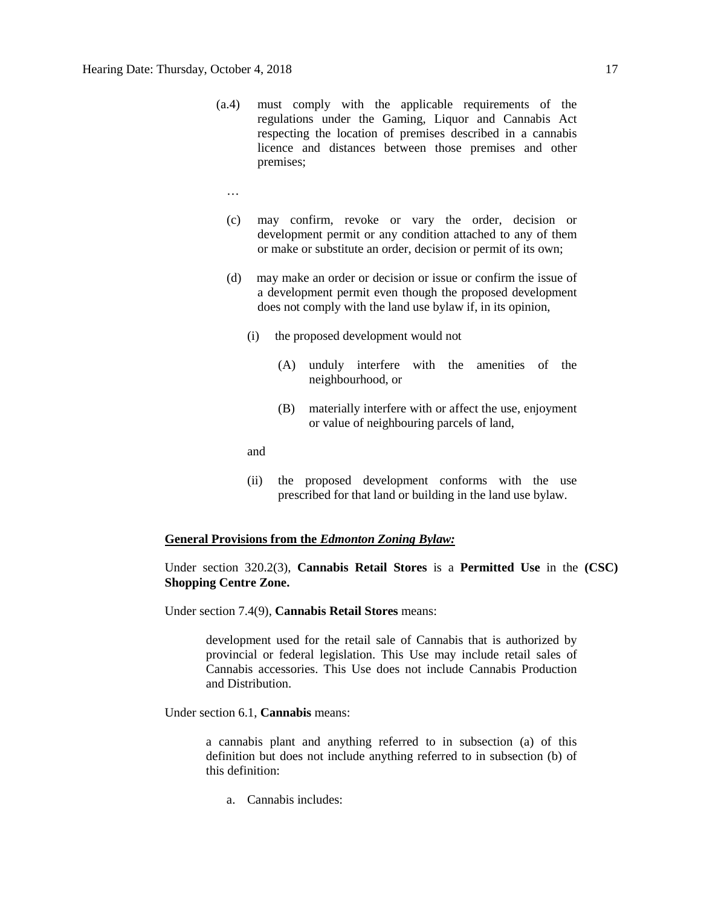- (a.4) must comply with the applicable requirements of the regulations under the Gaming, Liquor and Cannabis Act respecting the location of premises described in a cannabis licence and distances between those premises and other premises;
	- …
	- (c) may confirm, revoke or vary the order, decision or development permit or any condition attached to any of them or make or substitute an order, decision or permit of its own;
	- (d) may make an order or decision or issue or confirm the issue of a development permit even though the proposed development does not comply with the land use bylaw if, in its opinion,
		- (i) the proposed development would not
			- (A) unduly interfere with the amenities of the neighbourhood, or
			- (B) materially interfere with or affect the use, enjoyment or value of neighbouring parcels of land,

and

(ii) the proposed development conforms with the use prescribed for that land or building in the land use bylaw.

#### **General Provisions from the** *Edmonton Zoning Bylaw:*

Under section 320.2(3), **Cannabis Retail Stores** is a **Permitted Use** in the **(CSC) Shopping Centre Zone.**

Under section 7.4(9), **Cannabis Retail Stores** means:

development used for the retail sale of Cannabis that is authorized by provincial or federal legislation. This Use may include retail sales of Cannabis accessories. This Use does not include Cannabis Production and Distribution.

Under section 6.1, **Cannabis** means:

a cannabis plant and anything referred to in subsection (a) of this definition but does not include anything referred to in subsection (b) of this definition:

a. Cannabis includes: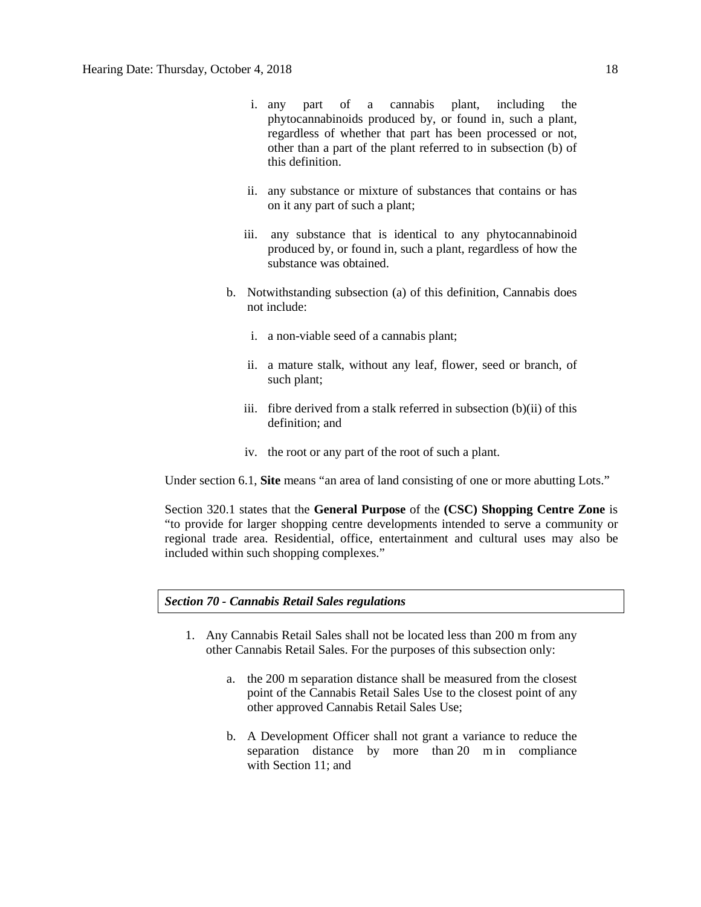- i. any part of a cannabis plant, including the phytocannabinoids produced by, or found in, such a plant, regardless of whether that part has been processed or not, other than a part of the plant referred to in subsection (b) of this definition.
- ii. any substance or mixture of substances that contains or has on it any part of such a plant;
- iii. any substance that is identical to any phytocannabinoid produced by, or found in, such a plant, regardless of how the substance was obtained.
- b. Notwithstanding subsection (a) of this definition, Cannabis does not include:
	- i. a non-viable seed of a cannabis plant;
	- ii. a mature stalk, without any leaf, flower, seed or branch, of such plant;
	- iii. fibre derived from a stalk referred in subsection (b)(ii) of this definition; and
	- iv. the root or any part of the root of such a plant.

Under section 6.1, **Site** means "an area of land consisting of one or more abutting Lots."

Section 320.1 states that the **General Purpose** of the **(CSC) Shopping Centre Zone** is "to provide for larger shopping centre developments intended to serve a community or regional trade area. Residential, office, entertainment and cultural uses may also be included within such shopping complexes."

# *Section 70 - Cannabis Retail Sales regulations*

- 1. Any Cannabis Retail Sales shall not be located less than 200 m from any other Cannabis Retail Sales. For the purposes of this subsection only:
	- a. the [200 m](javascript:void(0);) separation distance shall be measured from the closest point of the Cannabis Retail Sales Use to the closest point of any other approved Cannabis Retail Sales Use;
	- b. A Development Officer shall not grant a variance to reduce the separation distance by more than [20 m](javascript:void(0);) in compliance with [Section 11;](https://webdocs.edmonton.ca/InfraPlan/zoningbylaw/ZoningBylaw/Part1/Administrative/11__Authority_and_Responsibility_of_the_Development_Officer.htm) and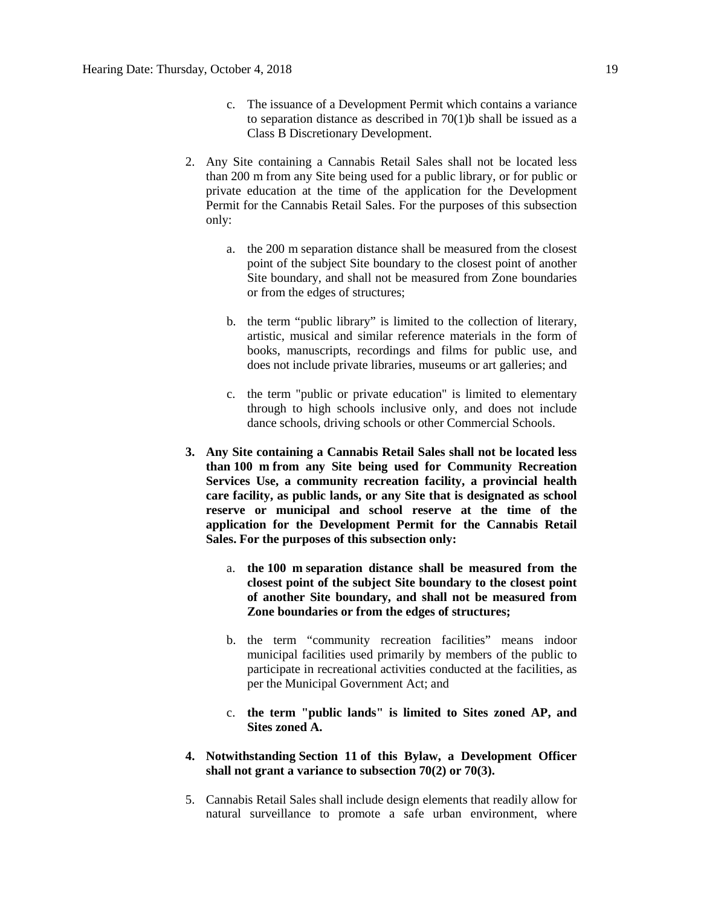- c. The issuance of a Development Permit which contains a variance to separation distance as described in 70(1)b shall be issued as a Class B Discretionary Development.
- 2. Any Site containing a Cannabis Retail Sales shall not be located less than [200 m](javascript:void(0);) from any Site being used for a public library, or for public or private education at the time of the application for the Development Permit for the Cannabis Retail Sales. For the purposes of this subsection only:
	- a. the [200 m](javascript:void(0);) separation distance shall be measured from the closest point of the subject Site boundary to the closest point of another Site boundary, and shall not be measured from Zone boundaries or from the edges of structures;
	- b. the term "public library" is limited to the collection of literary, artistic, musical and similar reference materials in the form of books, manuscripts, recordings and films for public use, and does not include private libraries, museums or art galleries; and
	- c. the term "public or private education" is limited to elementary through to high schools inclusive only, and does not include dance schools, driving schools or other Commercial Schools.
- **3. Any Site containing a Cannabis Retail Sales shall not be located less than [100 m](javascript:void(0);) from any Site being used for Community Recreation Services Use, a community recreation facility, a provincial health care facility, as public lands, or any Site that is designated as school reserve or municipal and school reserve at the time of the application for the Development Permit for the Cannabis Retail Sales. For the purposes of this subsection only:**
	- a. **the [100 m](javascript:void(0);) separation distance shall be measured from the closest point of the subject Site boundary to the closest point of another Site boundary, and shall not be measured from Zone boundaries or from the edges of structures;**
	- b. the term "community recreation facilities" means indoor municipal facilities used primarily by members of the public to participate in recreational activities conducted at the facilities, as per the Municipal Government Act; and
	- c. **the term "public lands" is limited to Sites zoned AP, and Sites zoned A.**
- **4. Notwithstanding [Section 11](https://webdocs.edmonton.ca/InfraPlan/zoningbylaw/ZoningBylaw/Part1/Administrative/11__Authority_and_Responsibility_of_the_Development_Officer.htm) of this Bylaw, a Development Officer shall not grant a variance to subsection 70(2) or 70(3).**
- 5. Cannabis Retail Sales shall include design elements that readily allow for natural surveillance to promote a safe urban environment, where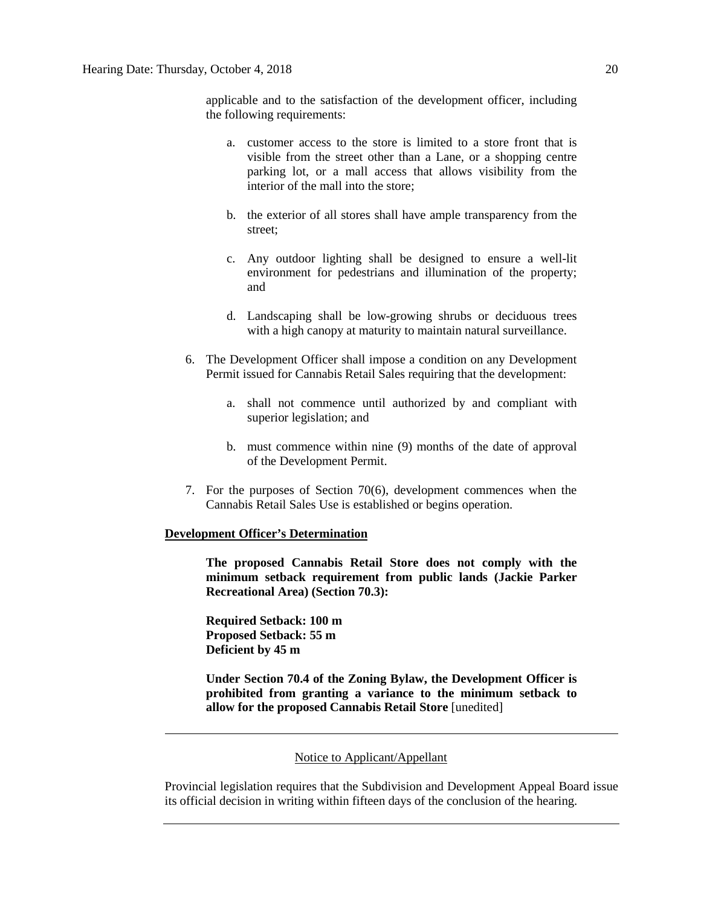applicable and to the satisfaction of the development officer, including the following requirements:

- a. customer access to the store is limited to a store front that is visible from the street other than a Lane, or a shopping centre parking lot, or a mall access that allows visibility from the interior of the mall into the store;
- b. the exterior of all stores shall have ample transparency from the street;
- c. Any outdoor lighting shall be designed to ensure a well-lit environment for pedestrians and illumination of the property; and
- d. Landscaping shall be low-growing shrubs or deciduous trees with a high canopy at maturity to maintain natural surveillance.
- 6. The Development Officer shall impose a condition on any Development Permit issued for Cannabis Retail Sales requiring that the development:
	- a. shall not commence until authorized by and compliant with superior legislation; and
	- b. must commence within nine (9) months of the date of approval of the Development Permit.
- 7. For the purposes of Section 70(6), development commences when the Cannabis Retail Sales Use is established or begins operation.

### **Development Officer's Determination**

**The proposed Cannabis Retail Store does not comply with the minimum setback requirement from public lands (Jackie Parker Recreational Area) (Section 70.3):**

**Required Setback: 100 m Proposed Setback: 55 m Deficient by 45 m**

**Under Section 70.4 of the Zoning Bylaw, the Development Officer is prohibited from granting a variance to the minimum setback to allow for the proposed Cannabis Retail Store** [unedited]

# Notice to Applicant/Appellant

Provincial legislation requires that the Subdivision and Development Appeal Board issue its official decision in writing within fifteen days of the conclusion of the hearing.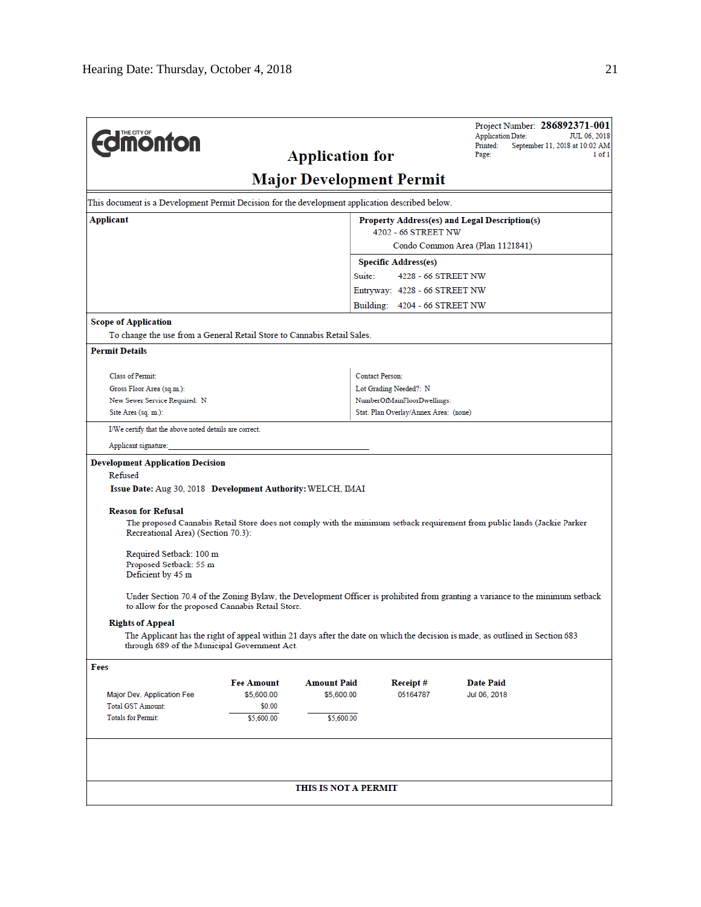| <b>Edmonton</b>                                                                                                   |                      | <b>Application for</b>          |                                       | Project Number: 286892371-001<br><b>Application Date:</b><br>Printed:<br>September 11, 2018 at 10:02 AM<br>Page:              | JUL 06, 2018<br>1 of 1 |
|-------------------------------------------------------------------------------------------------------------------|----------------------|---------------------------------|---------------------------------------|-------------------------------------------------------------------------------------------------------------------------------|------------------------|
|                                                                                                                   |                      | <b>Major Development Permit</b> |                                       |                                                                                                                               |                        |
| This document is a Development Permit Decision for the development application described below.                   |                      |                                 |                                       |                                                                                                                               |                        |
| Applicant                                                                                                         |                      |                                 |                                       | Property Address(es) and Legal Description(s)                                                                                 |                        |
|                                                                                                                   |                      |                                 | 4202 - 66 STREET NW                   | Condo Common Area (Plan 1121841)                                                                                              |                        |
|                                                                                                                   |                      |                                 | <b>Specific Address(es)</b>           |                                                                                                                               |                        |
|                                                                                                                   |                      | Suite:                          | 4228 - 66 STREET NW                   |                                                                                                                               |                        |
|                                                                                                                   |                      |                                 | Entryway: 4228 - 66 STREET NW         |                                                                                                                               |                        |
|                                                                                                                   |                      |                                 | Building: 4204 - 66 STREET NW         |                                                                                                                               |                        |
| <b>Scope of Application</b>                                                                                       |                      |                                 |                                       |                                                                                                                               |                        |
| To change the use from a General Retail Store to Cannabis Retail Sales.                                           |                      |                                 |                                       |                                                                                                                               |                        |
| <b>Permit Details</b>                                                                                             |                      |                                 |                                       |                                                                                                                               |                        |
| <b>Class of Permit:</b>                                                                                           |                      |                                 | Contact Person:                       |                                                                                                                               |                        |
| Gross Floor Area (sq.m.):                                                                                         |                      |                                 | Lot Grading Needed?: N                |                                                                                                                               |                        |
| New Sewer Service Required: N                                                                                     |                      |                                 | NumberOfMainFloorDwellings:           |                                                                                                                               |                        |
| Site Area (sq. m.):                                                                                               |                      |                                 | Stat. Plan Overlay/Annex Area: (none) |                                                                                                                               |                        |
| I/We certify that the above noted details are correct.                                                            |                      |                                 |                                       |                                                                                                                               |                        |
| Applicant signature:                                                                                              |                      |                                 |                                       |                                                                                                                               |                        |
| <b>Development Application Decision</b><br>Refused<br>Issue Date: Aug 30, 2018 Development Authority: WELCH, IMAI |                      |                                 |                                       |                                                                                                                               |                        |
| <b>Reason for Refusal</b><br>Recreational Area) (Section 70.3):                                                   |                      |                                 |                                       | The proposed Cannabis Retail Store does not comply with the minimum setback requirement from public lands (Jackie Parker      |                        |
| Required Setback: 100 m<br>Proposed Setback: 55 m<br>Deficient by 45 m                                            |                      |                                 |                                       |                                                                                                                               |                        |
| to allow for the proposed Cannabis Retail Store.                                                                  |                      |                                 |                                       | Under Section 70.4 of the Zoning Bylaw, the Development Officer is prohibited from granting a variance to the minimum setback |                        |
| <b>Rights of Appeal</b><br>through 689 of the Municipal Government Act.                                           |                      |                                 |                                       | The Applicant has the right of appeal within 21 days after the date on which the decision is made, as outlined in Section 683 |                        |
| Fees                                                                                                              |                      |                                 |                                       |                                                                                                                               |                        |
|                                                                                                                   | <b>Fee Amount</b>    | <b>Amount Paid</b>              | Receipt#                              | <b>Date Paid</b>                                                                                                              |                        |
| Major Dev. Application Fee                                                                                        | \$5,600.00           | \$5,600.00                      | 05164787                              | Jul 06, 2018                                                                                                                  |                        |
| <b>Total GST Amount:</b><br><b>Totals for Permit:</b>                                                             | \$0.00<br>\$5,600.00 | \$5,600.00                      |                                       |                                                                                                                               |                        |
|                                                                                                                   |                      |                                 |                                       |                                                                                                                               |                        |
|                                                                                                                   |                      | THIS IS NOT A PERMIT            |                                       |                                                                                                                               |                        |